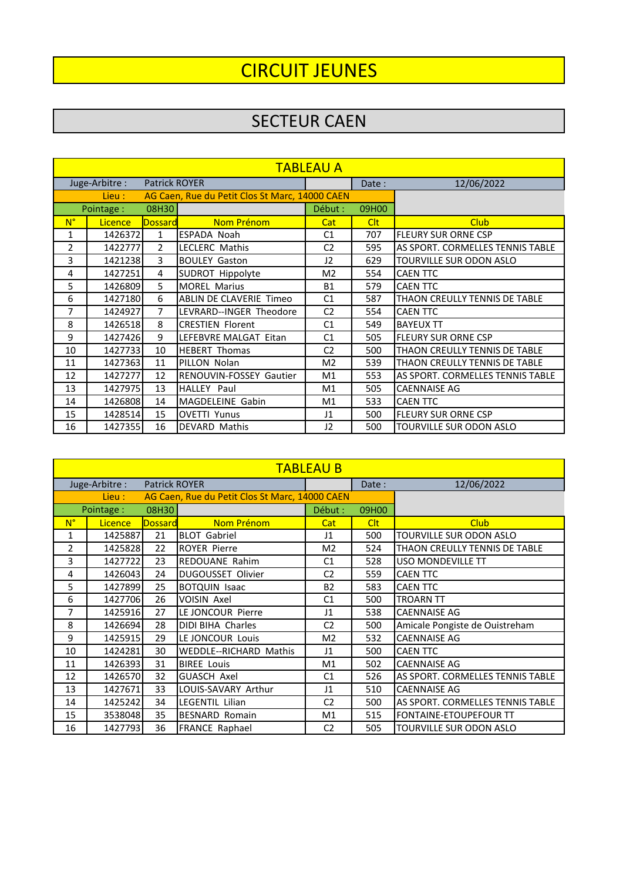# CIRCUIT JEUNES

### SECTEUR CAEN

| <b>TABLEAU A</b> |                |                      |                                                |                |            |                                  |  |  |
|------------------|----------------|----------------------|------------------------------------------------|----------------|------------|----------------------------------|--|--|
|                  | Juge-Arbitre : | <b>Patrick ROYER</b> |                                                |                | Date:      | 12/06/2022                       |  |  |
|                  | Lieu :         |                      | AG Caen, Rue du Petit Clos St Marc, 14000 CAEN |                |            |                                  |  |  |
|                  | Pointage:      | 08H30                |                                                | Début :        | 09H00      |                                  |  |  |
| $N^{\circ}$      | <b>Licence</b> | <b>Dossard</b>       | Nom Prénom                                     | Cat            | <b>Clt</b> | <b>Club</b>                      |  |  |
| 1                | 1426372        | $\mathbf{1}$         | <b>ESPADA Noah</b>                             | C <sub>1</sub> | 707        | <b>FLEURY SUR ORNE CSP</b>       |  |  |
| $\mathcal{P}$    | 1422777        | $\mathcal{P}$        | LECLERC Mathis                                 | C <sub>2</sub> | 595        | AS SPORT. CORMELLES TENNIS TABLE |  |  |
| 3                | 1421238        | 3                    | <b>BOULEY Gaston</b>                           | 12             | 629        | TOURVILLE SUR ODON ASLO          |  |  |
| 4                | 1427251        | 4                    | SUDROT Hippolyte                               | M <sub>2</sub> | 554        | <b>CAEN TTC</b>                  |  |  |
| 5                | 1426809        | 5                    | <b>MOREL Marius</b>                            | <b>B1</b>      | 579        | <b>CAEN TTC</b>                  |  |  |
| 6                | 1427180        | 6                    | <b>ABLIN DE CLAVERIE Timeo</b>                 | C <sub>1</sub> | 587        | THAON CREULLY TENNIS DE TABLE    |  |  |
| 7                | 1424927        | 7                    | LEVRARD--INGER Theodore                        | C <sub>2</sub> | 554        | <b>CAEN TTC</b>                  |  |  |
| 8                | 1426518        | 8                    | <b>CRESTIEN Florent</b>                        | C <sub>1</sub> | 549        | <b>BAYEUX TT</b>                 |  |  |
| 9                | 1427426        | 9                    | LEFEBVRE MALGAT Eitan                          | C <sub>1</sub> | 505        | <b>FLEURY SUR ORNE CSP</b>       |  |  |
| 10               | 1427733        | 10                   | <b>HEBERT Thomas</b>                           | C <sub>2</sub> | 500        | THAON CREULLY TENNIS DE TABLE    |  |  |
| 11               | 1427363        | 11                   | PILLON Nolan                                   | M <sub>2</sub> | 539        | THAON CREULLY TENNIS DE TABLE    |  |  |
| 12               | 1427277        | 12                   | <b>RENOUVIN-FOSSEY Gautier</b>                 | M1             | 553        | AS SPORT. CORMELLES TENNIS TABLE |  |  |
| 13               | 1427975        | 13                   | <b>HALLEY Paul</b>                             | M1             | 505        | <b>CAENNAISE AG</b>              |  |  |
| 14               | 1426808        | 14                   | MAGDELEINE Gabin                               | M <sub>1</sub> | 533        | <b>CAEN TTC</b>                  |  |  |
| 15               | 1428514        | 15                   | <b>OVETTI Yunus</b>                            | $_{11}$        | 500        | <b>FLEURY SUR ORNE CSP</b>       |  |  |
| 16               | 1427355        | 16                   | <b>DEVARD Mathis</b>                           | 12             | 500        | TOURVILLE SUR ODON ASLO          |  |  |

| <b>TABLEAU B</b> |                |                      |                                                |                |            |                                  |  |  |
|------------------|----------------|----------------------|------------------------------------------------|----------------|------------|----------------------------------|--|--|
|                  | Juge-Arbitre : | <b>Patrick ROYER</b> |                                                |                | Date:      | 12/06/2022                       |  |  |
|                  | Lieu :         |                      | AG Caen, Rue du Petit Clos St Marc, 14000 CAEN |                |            |                                  |  |  |
|                  | Pointage:      | 08H30                |                                                | Début :        | 09H00      |                                  |  |  |
| $N^{\circ}$      | <b>Licence</b> | <b>Dossard</b>       | Nom Prénom                                     | Cat            | <b>Clt</b> | <b>Club</b>                      |  |  |
| 1                | 1425887        | 21                   | <b>BLOT Gabriel</b>                            | J <sub>1</sub> | 500        | TOURVILLE SUR ODON ASLO          |  |  |
| $\overline{2}$   | 1425828        | 22                   | <b>ROYER Pierre</b>                            | M <sub>2</sub> | 524        | THAON CREULLY TENNIS DE TABLE    |  |  |
| 3                | 1427722        | 23                   | <b>REDOUANE Rahim</b>                          | C <sub>1</sub> | 528        | USO MONDEVILLE TT                |  |  |
| 4                | 1426043        | 24                   | DUGOUSSET Olivier                              | C <sub>2</sub> | 559        | <b>CAEN TTC</b>                  |  |  |
| 5                | 1427899        | 25                   | <b>BOTQUIN Isaac</b>                           | <b>B2</b>      | 583        | <b>CAEN TTC</b>                  |  |  |
| 6                | 1427706        | 26                   | <b>VOISIN Axel</b>                             | C <sub>1</sub> | 500        | <b>TROARN TT</b>                 |  |  |
| 7                | 1425916        | 27                   | LE JONCOUR Pierre                              | $_{11}$        | 538        | <b>CAENNAISE AG</b>              |  |  |
| 8                | 1426694        | 28                   | DIDI BIHA Charles                              | C <sub>2</sub> | 500        | Amicale Pongiste de Ouistreham   |  |  |
| 9                | 1425915        | 29                   | LE JONCOUR Louis                               | M <sub>2</sub> | 532        | <b>CAENNAISE AG</b>              |  |  |
| 10               | 1424281        | 30                   | <b>WEDDLE--RICHARD Mathis</b>                  | $_{11}$        | 500        | <b>CAEN TTC</b>                  |  |  |
| 11               | 1426393        | 31                   | <b>BIREE Louis</b>                             | M1             | 502        | <b>CAENNAISE AG</b>              |  |  |
| 12               | 1426570        | 32                   | <b>GUASCH Axel</b>                             | C <sub>1</sub> | 526        | AS SPORT. CORMELLES TENNIS TABLE |  |  |
| 13               | 1427671        | 33                   | LOUIS-SAVARY Arthur                            | $_{11}$        | 510        | <b>CAENNAISE AG</b>              |  |  |
| 14               | 1425242        | 34                   | <b>LEGENTIL Lilian</b>                         | C <sub>2</sub> | 500        | AS SPORT. CORMELLES TENNIS TABLE |  |  |
| 15               | 3538048        | 35                   | <b>BESNARD Romain</b>                          | M1             | 515        | FONTAINE-ETOUPEFOUR TT           |  |  |
| 16               | 1427793        | 36                   | <b>FRANCE Raphael</b>                          | C <sub>2</sub> | 505        | TOURVILLE SUR ODON ASLO          |  |  |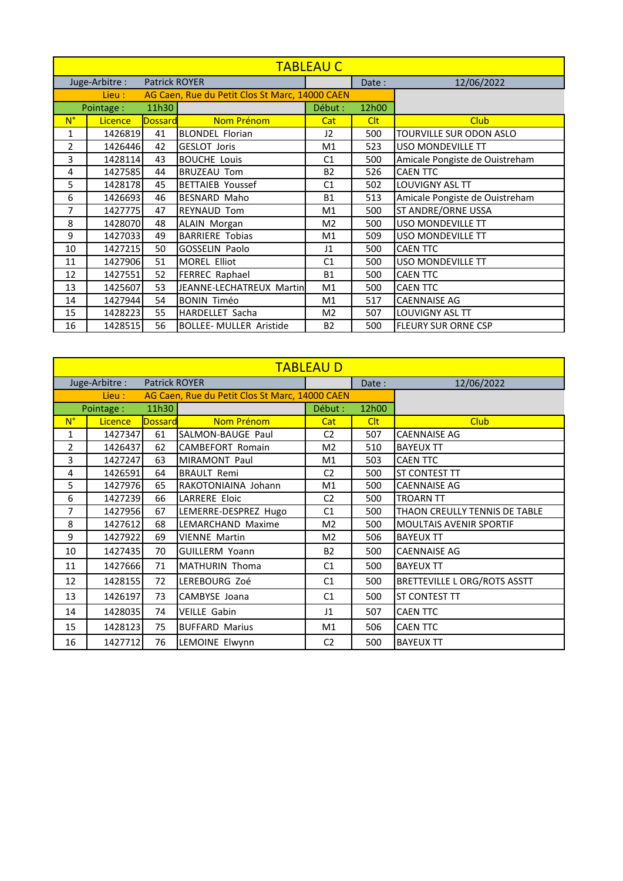| <b>TABLEAU C</b> |                |               |                                                |                |            |                                |  |  |
|------------------|----------------|---------------|------------------------------------------------|----------------|------------|--------------------------------|--|--|
|                  | Juge-Arbitre : | Patrick ROYER |                                                |                | Date:      | 12/06/2022                     |  |  |
|                  | Lieu :         |               | AG Caen, Rue du Petit Clos St Marc, 14000 CAEN |                |            |                                |  |  |
|                  | Pointage:      | 11h30         |                                                | Début :        | 12h00      |                                |  |  |
| $N^{\circ}$      | <b>Licence</b> | Dossard       | Nom Prénom                                     | Cat            | <b>Clt</b> | <b>Club</b>                    |  |  |
| $\mathbf{1}$     | 1426819        | 41            | <b>BLONDEL Florian</b>                         | 12             | 500        | TOURVILLE SUR ODON ASLO        |  |  |
| 2                | 1426446        | 42            | GESLOT Joris                                   | M1             | 523        | USO MONDEVILLE TT              |  |  |
| 3                | 1428114        | 43            | <b>BOUCHE Louis</b>                            | C <sub>1</sub> | 500        | Amicale Pongiste de Ouistreham |  |  |
| 4                | 1427585        | 44            | <b>BRUZEAU Tom</b>                             | <b>B2</b>      | 526        | <b>CAEN TTC</b>                |  |  |
| 5                | 1428178        | 45            | <b>BETTAIEB Youssef</b>                        | C1             | 502        | LOUVIGNY ASL TT                |  |  |
| 6                | 1426693        | 46            | <b>BESNARD Maho</b>                            | <b>B1</b>      | 513        | Amicale Pongiste de Ouistreham |  |  |
| 7                | 1427775        | 47            | <b>REYNAUD Tom</b>                             | M1             | 500        | ST ANDRE/ORNE USSA             |  |  |
| 8                | 1428070        | 48            | <b>ALAIN Morgan</b>                            | M <sub>2</sub> | 500        | USO MONDEVILLE TT              |  |  |
| 9                | 1427033        | 49            | <b>BARRIERE Tobias</b>                         | M1             | 509        | USO MONDEVILLE TT              |  |  |
| 10               | 1427215        | 50            | <b>GOSSELIN Paolo</b>                          | $_{11}$        | 500        | <b>CAEN TTC</b>                |  |  |
| 11               | 1427906        | 51            | <b>MOREL Elliot</b>                            | C <sub>1</sub> | 500        | <b>USO MONDEVILLE TT</b>       |  |  |
| 12               | 1427551        | 52            | FERREC Raphael                                 | <b>B1</b>      | 500        | <b>CAEN TTC</b>                |  |  |
| 13               | 1425607        | 53            | JEANNE-LECHATREUX Martin                       | M1             | 500        | <b>CAEN TTC</b>                |  |  |
| 14               | 1427944        | 54            | <b>BONIN Timéo</b>                             | M1             | 517        | <b>CAENNAISE AG</b>            |  |  |
| 15               | 1428223        | 55            | HARDELLET Sacha                                | M <sub>2</sub> | 507        | <b>LOUVIGNY ASL TT</b>         |  |  |
| 16               | 1428515        | 56            | <b>BOLLEE- MULLER Aristide</b>                 | <b>B2</b>      | 500        | <b>FLEURY SUR ORNE CSP</b>     |  |  |

|                | <b>TABLEAU D</b> |                      |                                                |                |            |                                     |  |  |  |  |
|----------------|------------------|----------------------|------------------------------------------------|----------------|------------|-------------------------------------|--|--|--|--|
|                | Juge-Arbitre :   | <b>Patrick ROYER</b> |                                                |                | Date:      | 12/06/2022                          |  |  |  |  |
|                | Lieu :           |                      | AG Caen, Rue du Petit Clos St Marc, 14000 CAEN |                |            |                                     |  |  |  |  |
|                | Pointage:        | 11h30                |                                                | Début :        | 12h00      |                                     |  |  |  |  |
| $N^{\circ}$    | <b>Licence</b>   | <b>Dossard</b>       | Nom Prénom                                     | Cat            | <b>Clt</b> | <b>Club</b>                         |  |  |  |  |
| 1              | 1427347          | 61                   | SALMON-BAUGE Paul                              | C <sub>2</sub> | 507        | <b>CAENNAISE AG</b>                 |  |  |  |  |
| $\overline{2}$ | 1426437          | 62                   | CAMBEFORT Romain                               | M <sub>2</sub> | 510        | <b>BAYEUX TT</b>                    |  |  |  |  |
| 3              | 1427247          | 63                   | MIRAMONT Paul                                  | M1             | 503        | <b>CAEN TTC</b>                     |  |  |  |  |
| 4              | 1426591          | 64                   | <b>BRAULT Remi</b>                             | C <sub>2</sub> | 500        | <b>ST CONTEST TT</b>                |  |  |  |  |
| 5              | 1427976          | 65                   | RAKOTONIAINA Johann                            | M <sub>1</sub> | 500        | <b>CAENNAISE AG</b>                 |  |  |  |  |
| 6              | 1427239          | 66                   | <b>LARRERE Eloic</b>                           | C <sub>2</sub> | 500        | <b>TROARN TT</b>                    |  |  |  |  |
| 7              | 1427956          | 67                   | LEMERRE-DESPREZ Hugo                           | C <sub>1</sub> | 500        | THAON CREULLY TENNIS DE TABLE       |  |  |  |  |
| 8              | 1427612          | 68                   | LEMARCHAND Maxime                              | M <sub>2</sub> | 500        | <b>MOULTAIS AVENIR SPORTIF</b>      |  |  |  |  |
| 9              | 1427922          | 69                   | <b>VIENNE Martin</b>                           | M <sub>2</sub> | 506        | <b>BAYEUX TT</b>                    |  |  |  |  |
| 10             | 1427435          | 70                   | <b>GUILLERM Yoann</b>                          | <b>B2</b>      | 500        | <b>CAENNAISE AG</b>                 |  |  |  |  |
| 11             | 1427666          | 71                   | MATHURIN Thoma                                 | C1             | 500        | <b>BAYEUX TT</b>                    |  |  |  |  |
| 12             | 1428155          | 72                   | LEREBOURG Zoé                                  | C <sub>1</sub> | 500        | <b>BRETTEVILLE L ORG/ROTS ASSTT</b> |  |  |  |  |
| 13             | 1426197          | 73                   | CAMBYSE Joana                                  | C <sub>1</sub> | 500        | <b>ST CONTEST TT</b>                |  |  |  |  |
| 14             | 1428035          | 74                   | <b>VEILLE Gabin</b>                            | $_{11}$        | 507        | <b>CAEN TTC</b>                     |  |  |  |  |
| 15             | 1428123          | 75                   | <b>BUFFARD Marius</b>                          | M1             | 506        | <b>CAEN TTC</b>                     |  |  |  |  |
| 16             | 1427712          | 76                   | LEMOINE Elwynn                                 | C <sub>2</sub> | 500        | <b>BAYEUX TT</b>                    |  |  |  |  |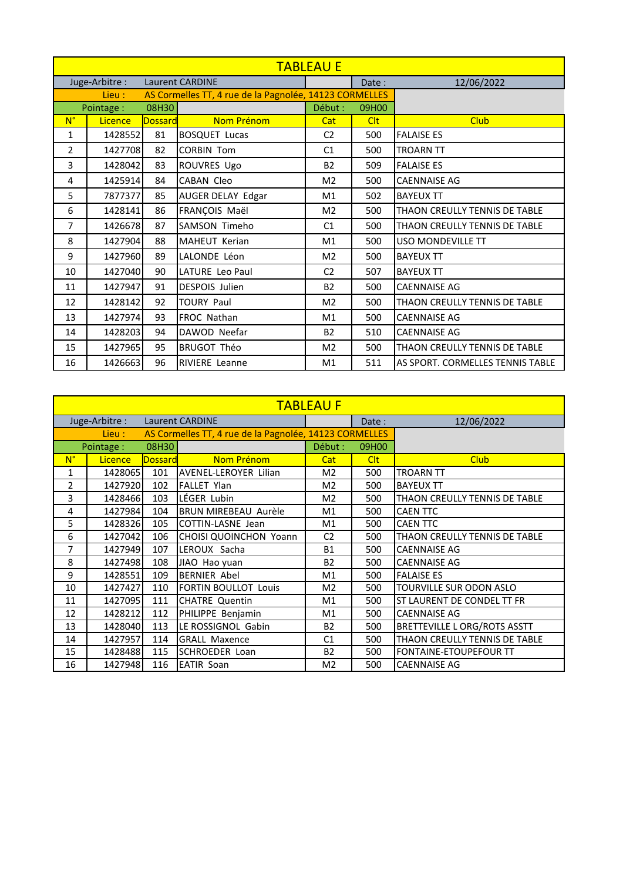| <b>TABLEAU E</b> |                |                |                                                        |                |       |                                  |  |  |
|------------------|----------------|----------------|--------------------------------------------------------|----------------|-------|----------------------------------|--|--|
|                  | Juge-Arbitre:  |                | <b>Laurent CARDINE</b>                                 |                | Date: | 12/06/2022                       |  |  |
|                  | Lieu :         |                | AS Cormelles TT, 4 rue de la Pagnolée, 14123 CORMELLES |                |       |                                  |  |  |
|                  | Pointage:      | 08H30          |                                                        | Début :        | 09H00 |                                  |  |  |
| $N^{\circ}$      | <b>Licence</b> | <b>Dossard</b> | Nom Prénom                                             | Cat            | Clt   | <b>Club</b>                      |  |  |
| $\mathbf{1}$     | 1428552        | 81             | <b>BOSQUET Lucas</b>                                   | C <sub>2</sub> | 500   | <b>FALAISE ES</b>                |  |  |
| 2                | 1427708        | 82             | <b>CORBIN Tom</b>                                      | C <sub>1</sub> | 500   | <b>TROARN TT</b>                 |  |  |
| 3                | 1428042        | 83             | ROUVRES Ugo                                            | <b>B2</b>      | 509   | <b>FALAISE ES</b>                |  |  |
| 4                | 1425914        | 84             | <b>CABAN Cleo</b>                                      | M <sub>2</sub> | 500   | <b>CAENNAISE AG</b>              |  |  |
| 5                | 7877377        | 85             | AUGER DELAY Edgar                                      | M1             | 502   | <b>BAYEUX TT</b>                 |  |  |
| 6                | 1428141        | 86             | FRANÇOIS Maël                                          | M <sub>2</sub> | 500   | THAON CREULLY TENNIS DE TABLE    |  |  |
| $\overline{7}$   | 1426678        | 87             | SAMSON Timeho                                          | C <sub>1</sub> | 500   | THAON CREULLY TENNIS DE TABLE    |  |  |
| 8                | 1427904        | 88             | MAHEUT Kerian                                          | M <sub>1</sub> | 500   | <b>USO MONDEVILLE TT</b>         |  |  |
| 9                | 1427960        | 89             | LALONDE Léon                                           | M <sub>2</sub> | 500   | <b>BAYEUX TT</b>                 |  |  |
| 10               | 1427040        | 90             | LATURE Leo Paul                                        | C <sub>2</sub> | 507   | <b>BAYEUX TT</b>                 |  |  |
| 11               | 1427947        | 91             | DESPOIS Julien                                         | <b>B2</b>      | 500   | <b>CAENNAISE AG</b>              |  |  |
| 12               | 1428142        | 92             | <b>TOURY Paul</b>                                      | M <sub>2</sub> | 500   | THAON CREULLY TENNIS DE TABLE    |  |  |
| 13               | 1427974        | 93             | FROC Nathan                                            | M <sub>1</sub> | 500   | <b>CAENNAISE AG</b>              |  |  |
| 14               | 1428203        | 94             | DAWOD Neefar                                           | <b>B2</b>      | 510   | <b>CAENNAISE AG</b>              |  |  |
| 15               | 1427965        | 95             | <b>BRUGOT Théo</b>                                     | M <sub>2</sub> | 500   | THAON CREULLY TENNIS DE TABLE    |  |  |
| 16               | 1426663        | 96             | <b>RIVIERE</b> Leanne                                  | M1             | 511   | AS SPORT. CORMELLES TENNIS TABLE |  |  |

| <b>TABLEAU F</b> |                |                |                                                        |                |            |                                     |  |  |  |
|------------------|----------------|----------------|--------------------------------------------------------|----------------|------------|-------------------------------------|--|--|--|
|                  | Juge-Arbitre:  |                | <b>Laurent CARDINE</b>                                 |                | Date:      | 12/06/2022                          |  |  |  |
| Lieu :           |                |                | AS Cormelles TT, 4 rue de la Pagnolée, 14123 CORMELLES |                |            |                                     |  |  |  |
|                  | Pointage:      | 08H30          |                                                        | Début :        | 09H00      |                                     |  |  |  |
| $N^{\circ}$      | <b>Licence</b> | <b>Dossard</b> | Nom Prénom                                             | Cat            | <b>Clt</b> | <b>Club</b>                         |  |  |  |
| 1                | 1428065        | 101            | AVENEL-LEROYER Lilian                                  | M <sub>2</sub> | 500        | <b>TROARN TT</b>                    |  |  |  |
| $\overline{2}$   | 1427920        | 102            | <b>FALLET Ylan</b>                                     | M <sub>2</sub> | 500        | <b>BAYEUX TT</b>                    |  |  |  |
| 3                | 1428466        | 103            | LÉGER Lubin                                            | M <sub>2</sub> | 500        | THAON CREULLY TENNIS DE TABLE       |  |  |  |
| 4                | 1427984        | 104            | <b>BRUN MIREBEAU Aurèle</b>                            | M1             | 500        | <b>CAEN TTC</b>                     |  |  |  |
| 5                | 1428326        | 105            | <b>COTTIN-LASNE Jean</b>                               | M1             | 500        | <b>CAEN TTC</b>                     |  |  |  |
| 6                | 1427042        | 106            | CHOISI QUOINCHON Yoann                                 | C <sub>2</sub> | 500        | THAON CREULLY TENNIS DE TABLE       |  |  |  |
| 7                | 1427949        | 107            | LEROUX Sacha                                           | <b>B1</b>      | 500        | <b>CAENNAISE AG</b>                 |  |  |  |
| 8                | 1427498        | 108            | JIAO Hao yuan                                          | <b>B2</b>      | 500        | <b>CAENNAISE AG</b>                 |  |  |  |
| 9                | 1428551        | 109            | <b>BERNIER Abel</b>                                    | M1             | 500        | <b>FALAISE ES</b>                   |  |  |  |
| 10               | 1427427        | 110            | <b>FORTIN BOULLOT Louis</b>                            | M <sub>2</sub> | 500        | <b>TOURVILLE SUR ODON ASLO</b>      |  |  |  |
| 11               | 1427095        | 111            | <b>CHATRE Quentin</b>                                  | M1             | 500        | ST LAURENT DE CONDEL TT FR          |  |  |  |
| 12               | 1428212        | 112            | PHILIPPE Benjamin                                      | M1             | 500        | <b>CAENNAISE AG</b>                 |  |  |  |
| 13               | 1428040        | 113            | LE ROSSIGNOL Gabin                                     | <b>B2</b>      | 500        | <b>BRETTEVILLE L ORG/ROTS ASSTT</b> |  |  |  |
| 14               | 1427957        | 114            | <b>GRALL Maxence</b>                                   | C <sub>1</sub> | 500        | THAON CREULLY TENNIS DE TABLE       |  |  |  |
| 15               | 1428488        | 115            | <b>SCHROEDER Loan</b>                                  | B2             | 500        | FONTAINE-ETOUPEFOUR TT              |  |  |  |
| 16               | 1427948        | 116            | <b>EATIR Soan</b>                                      | M <sub>2</sub> | 500        | <b>CAENNAISE AG</b>                 |  |  |  |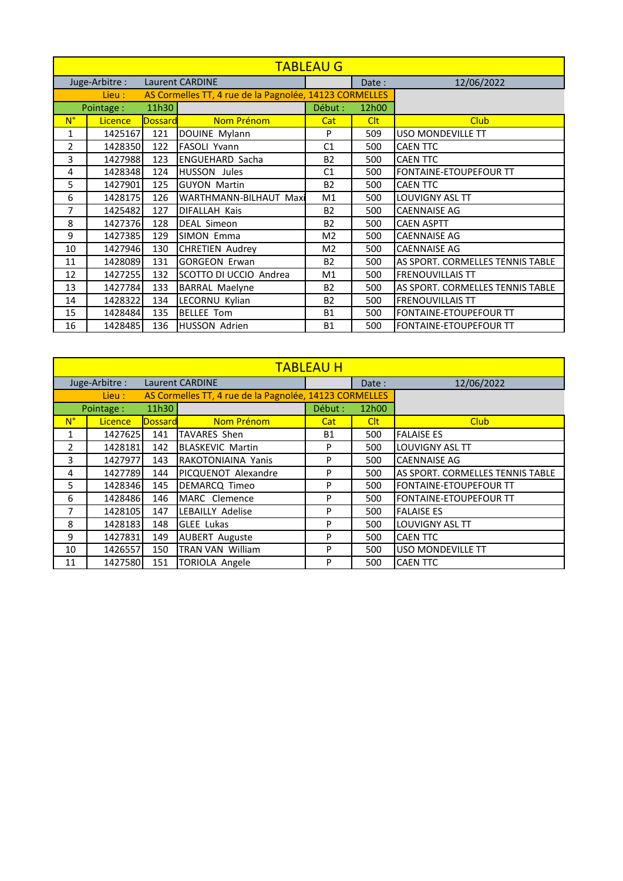| <b>TABLEAU G</b> |                |                |                                                        |                |            |                                  |  |  |  |
|------------------|----------------|----------------|--------------------------------------------------------|----------------|------------|----------------------------------|--|--|--|
|                  | Juge-Arbitre : |                | <b>Laurent CARDINE</b>                                 |                | Date:      | 12/06/2022                       |  |  |  |
|                  | Lieu :         |                | AS Cormelles TT, 4 rue de la Pagnolée, 14123 CORMELLES |                |            |                                  |  |  |  |
|                  | Pointage:      | 11h30          |                                                        | Début :        | 12h00      |                                  |  |  |  |
| $N^{\circ}$      | <b>Licence</b> | <b>Dossard</b> | Nom Prénom                                             | Cat            | <b>Clt</b> | <b>Club</b>                      |  |  |  |
| $\mathbf{1}$     | 1425167        | 121            | DOUINE Mylann                                          | P              | 509        | USO MONDEVILLE TT                |  |  |  |
| 2                | 1428350        | 122            | <b>FASOLI Yvann</b>                                    | C <sub>1</sub> | 500        | <b>CAEN TTC</b>                  |  |  |  |
| 3                | 1427988        | 123            | <b>ENGUEHARD Sacha</b>                                 | <b>B2</b>      | 500        | <b>CAEN TTC</b>                  |  |  |  |
| 4                | 1428348        | 124            | <b>HUSSON Jules</b>                                    | C <sub>1</sub> | 500        | <b>FONTAINE-ETOUPEFOUR TT</b>    |  |  |  |
| 5                | 1427901        | 125            | <b>GUYON Martin</b>                                    | <b>B2</b>      | 500        | <b>CAEN TTC</b>                  |  |  |  |
| 6                | 1428175        | 126            | <b>WARTHMANN-BILHAUT Maxi</b>                          | M1             | 500        | LOUVIGNY ASL TT                  |  |  |  |
| 7                | 1425482        | 127            | DIFALLAH Kais                                          | <b>B2</b>      | 500        | <b>CAENNAISE AG</b>              |  |  |  |
| 8                | 1427376        | 128            | DEAL Simeon                                            | <b>B2</b>      | 500        | <b>CAEN ASPTT</b>                |  |  |  |
| 9                | 1427385        | 129            | SIMON Emma                                             | M <sub>2</sub> | 500        | <b>CAENNAISE AG</b>              |  |  |  |
| 10               | 1427946        | 130            | <b>CHRETIEN Audrey</b>                                 | M <sub>2</sub> | 500        | <b>CAENNAISE AG</b>              |  |  |  |
| 11               | 1428089        | 131            | <b>GORGEON Erwan</b>                                   | <b>B2</b>      | 500        | AS SPORT. CORMELLES TENNIS TABLE |  |  |  |
| 12               | 1427255        | 132            | SCOTTO DI UCCIO Andrea                                 | M <sub>1</sub> | 500        | <b>FRENOUVILLAIS TT</b>          |  |  |  |
| 13               | 1427784        | 133            | <b>BARRAL Maelyne</b>                                  | <b>B2</b>      | 500        | AS SPORT. CORMELLES TENNIS TABLE |  |  |  |
| 14               | 1428322        | 134            | LECORNU Kylian                                         | <b>B2</b>      | 500        | <b>FRENOUVILLAIS TT</b>          |  |  |  |
| 15               | 1428484        | 135            | <b>BELLEE Tom</b>                                      | <b>B1</b>      | 500        | FONTAINE-ETOUPEFOUR TT           |  |  |  |
| 16               | 1428485        | 136            | <b>HUSSON Adrien</b>                                   | <b>B1</b>      | 500        | <b>FONTAINE-ETOUPEFOUR TT</b>    |  |  |  |

|                                                                  | <b>TABLEAU H</b> |                |                         |           |            |                                  |  |  |  |  |
|------------------------------------------------------------------|------------------|----------------|-------------------------|-----------|------------|----------------------------------|--|--|--|--|
| Juge-Arbitre:<br><b>Laurent CARDINE</b>                          |                  |                |                         |           | Date:      | 12/06/2022                       |  |  |  |  |
| AS Cormelles TT, 4 rue de la Pagnolée, 14123 CORMELLES<br>Lieu : |                  |                |                         |           |            |                                  |  |  |  |  |
|                                                                  | Pointage:        | 11h30          |                         | Début :   | 12h00      |                                  |  |  |  |  |
| $N^{\circ}$                                                      | <b>Licence</b>   | <b>Dossard</b> | Nom Prénom              | Cat       | <b>Clt</b> | <b>Club</b>                      |  |  |  |  |
| 1                                                                | 1427625          | 141            | <b>TAVARES Shen</b>     | <b>B1</b> | 500        | <b>FALAISE ES</b>                |  |  |  |  |
| $\mathfrak{p}$                                                   | 1428181          | 142            | <b>BLASKEVIC Martin</b> | P         | 500        | <b>LOUVIGNY ASL TT</b>           |  |  |  |  |
| 3                                                                | 1427977          | 143            | RAKOTONIAINA Yanis      | P         | 500        | <b>CAENNAISE AG</b>              |  |  |  |  |
| 4                                                                | 1427789          | 144            | PICQUENOT Alexandre     | P         | 500        | AS SPORT. CORMELLES TENNIS TABLE |  |  |  |  |
| 5                                                                | 1428346          | 145            | DEMARCQ Timeo           | P         | 500        | <b>FONTAINE-ETOUPEFOUR TT</b>    |  |  |  |  |
| 6                                                                | 1428486          | 146            | MARC Clemence           | P         | 500        | <b>FONTAINE-ETOUPEFOUR TT</b>    |  |  |  |  |
| 7                                                                | 1428105          | 147            | LEBAILLY Adelise        | P         | 500        | <b>FALAISE ES</b>                |  |  |  |  |
| 8                                                                | 1428183          | 148            | <b>GLEE Lukas</b>       | P         | 500        | <b>LOUVIGNY ASL TT</b>           |  |  |  |  |
| 9                                                                | 1427831          | 149            | <b>AUBERT Auguste</b>   | P         | 500        | <b>CAEN TTC</b>                  |  |  |  |  |
| 10                                                               | 1426557          | 150            | <b>TRAN VAN William</b> | P         | 500        | <b>USO MONDEVILLE TT</b>         |  |  |  |  |
| 11                                                               | 1427580          | 151            | <b>TORIOLA Angele</b>   | P         | 500        | <b>CAEN TTC</b>                  |  |  |  |  |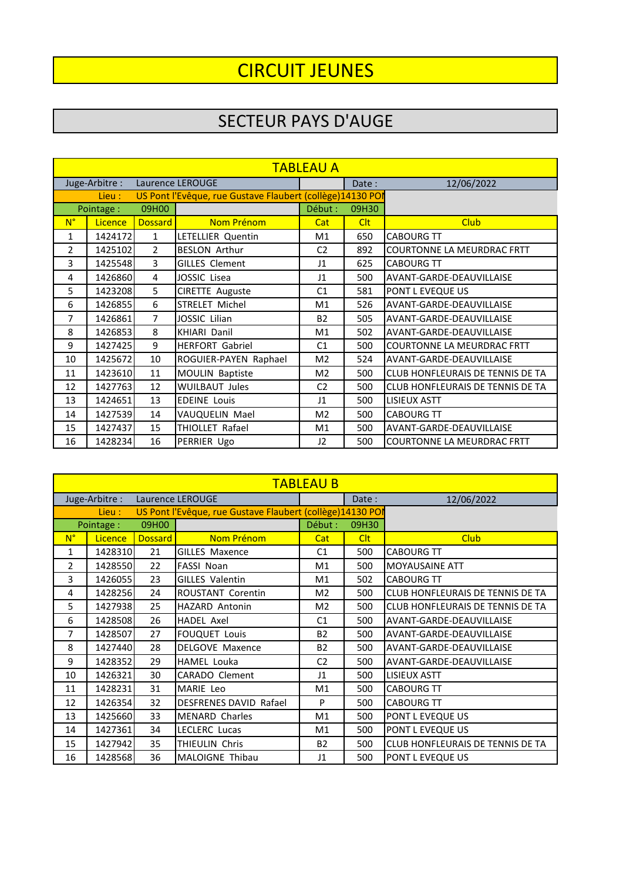# CIRCUIT JEUNES

### SECTEUR PAYS D'AUGE

|                | <b>TABLEAU A</b> |               |                                                           |                |            |                                   |  |  |  |  |
|----------------|------------------|---------------|-----------------------------------------------------------|----------------|------------|-----------------------------------|--|--|--|--|
|                | Juge-Arbitre:    |               | Laurence LEROUGE                                          |                | Date:      | 12/06/2022                        |  |  |  |  |
|                | Lieu :           |               | US Pont l'Evêque, rue Gustave Flaubert (collège)14130 POI |                |            |                                   |  |  |  |  |
|                | Pointage:        | 09H00         |                                                           | Début :        | 09H30      |                                   |  |  |  |  |
| $N^{\circ}$    | Licence          | Dossard       | Nom Prénom                                                | Cat            | <b>Clt</b> | <b>Club</b>                       |  |  |  |  |
| 1              | 1424172          | $\mathbf{1}$  | LETELLIER Quentin                                         | M1             | 650        | <b>CABOURG TT</b>                 |  |  |  |  |
| $\mathfrak{p}$ | 1425102          | $\mathcal{P}$ | <b>BESLON Arthur</b>                                      | C <sub>2</sub> | 892        | <b>COURTONNE LA MEURDRAC FRTT</b> |  |  |  |  |
| 3              | 1425548          | 3             | <b>GILLES Clement</b>                                     | $\mathsf{I}1$  | 625        | <b>CABOURG TT</b>                 |  |  |  |  |
| 4              | 1426860          | 4             | JOSSIC Lisea                                              | $_{11}$        | 500        | AVANT-GARDE-DEAUVILLAISE          |  |  |  |  |
| 5              | 1423208          | 5             | <b>CIRETTE Auguste</b>                                    | C1             | 581        | <b>PONT L EVEQUE US</b>           |  |  |  |  |
| 6              | 1426855          | 6             | STRELET Michel                                            | M1             | 526        | AVANT-GARDE-DEAUVILLAISE          |  |  |  |  |
| 7              | 1426861          | 7             | JOSSIC Lilian                                             | <b>B2</b>      | 505        | AVANT-GARDE-DEAUVILLAISE          |  |  |  |  |
| 8              | 1426853          | 8             | <b>KHIARI Danil</b>                                       | M1             | 502        | AVANT-GARDE-DEAUVILLAISE          |  |  |  |  |
| 9              | 1427425          | 9             | <b>HERFORT Gabriel</b>                                    | C1             | 500        | <b>COURTONNE LA MEURDRAC FRTT</b> |  |  |  |  |
| 10             | 1425672          | 10            | ROGUIER-PAYEN Raphael                                     | M <sub>2</sub> | 524        | AVANT-GARDE-DEAUVILLAISE          |  |  |  |  |
| 11             | 1423610          | 11            | MOULIN Baptiste                                           | M <sub>2</sub> | 500        | CLUB HONFLEURAIS DE TENNIS DE TA  |  |  |  |  |
| 12             | 1427763          | 12            | <b>WUILBAUT Jules</b>                                     | C <sub>2</sub> | 500        | CLUB HONFLEURAIS DE TENNIS DE TA  |  |  |  |  |
| 13             | 1424651          | 13            | <b>EDEINE Louis</b>                                       | $\mathsf{I}1$  | 500        | <b>LISIEUX ASTT</b>               |  |  |  |  |
| 14             | 1427539          | 14            | VAUQUELIN Mael                                            | M <sub>2</sub> | 500        | <b>CABOURG TT</b>                 |  |  |  |  |
| 15             | 1427437          | 15            | THIOLLET Rafael                                           | M1             | 500        | AVANT-GARDE-DEAUVILLAISE          |  |  |  |  |
| 16             | 1428234          | 16            | PERRIER Ugo                                               | 12             | 500        | COURTONNE LA MEURDRAC FRTT        |  |  |  |  |

|               | <b>TABLEAU B</b> |         |                                                           |                |            |                                         |  |  |  |  |
|---------------|------------------|---------|-----------------------------------------------------------|----------------|------------|-----------------------------------------|--|--|--|--|
|               | Juge-Arbitre :   |         | Laurence LEROUGE                                          |                | Date:      | 12/06/2022                              |  |  |  |  |
| Lieu :        |                  |         | US Pont l'Evêque, rue Gustave Flaubert (collège)14130 POI |                |            |                                         |  |  |  |  |
|               | Pointage:        | 09H00   |                                                           | Début :        | 09H30      |                                         |  |  |  |  |
| $N^{\circ}$   | Licence          | Dossard | Nom Prénom                                                | Cat            | <b>Clt</b> | <b>Club</b>                             |  |  |  |  |
| 1             | 1428310          | 21      | <b>GILLES Maxence</b>                                     | C <sub>1</sub> | 500        | <b>CABOURG TT</b>                       |  |  |  |  |
| $\mathcal{P}$ | 1428550          | 22      | <b>FASSI Noan</b>                                         | M1             | 500        | <b>MOYAUSAINE ATT</b>                   |  |  |  |  |
| 3             | 1426055          | 23      | <b>GILLES Valentin</b>                                    | M1             | 502        | <b>CABOURG TT</b>                       |  |  |  |  |
| 4             | 1428256          | 24      | ROUSTANT Corentin                                         | M <sub>2</sub> | 500        | <b>CLUB HONFLEURAIS DE TENNIS DE TA</b> |  |  |  |  |
| 5             | 1427938          | 25      | <b>HAZARD Antonin</b>                                     | M <sub>2</sub> | 500        | CLUB HONFLEURAIS DE TENNIS DE TA        |  |  |  |  |
| 6             | 1428508          | 26      | <b>HADEL Axel</b>                                         | C <sub>1</sub> | 500        | AVANT-GARDE-DEAUVILLAISE                |  |  |  |  |
| 7             | 1428507          | 27      | <b>FOUQUET Louis</b>                                      | <b>B2</b>      | 500        | AVANT-GARDE-DEAUVILLAISE                |  |  |  |  |
| 8             | 1427440          | 28      | <b>DELGOVE Maxence</b>                                    | <b>B2</b>      | 500        | AVANT-GARDE-DEAUVILLAISE                |  |  |  |  |
| 9             | 1428352          | 29      | <b>HAMEL Louka</b>                                        | C <sub>2</sub> | 500        | AVANT-GARDE-DEAUVILLAISE                |  |  |  |  |
| 10            | 1426321          | 30      | <b>CARADO Clement</b>                                     | $_{11}$        | 500        | <b>LISIEUX ASTT</b>                     |  |  |  |  |
| 11            | 1428231          | 31      | MARIE Leo                                                 | M1             | 500        | <b>CABOURG TT</b>                       |  |  |  |  |
| 12            | 1426354          | 32      | <b>DESFRENES DAVID Rafael</b>                             | P              | 500        | <b>CABOURG TT</b>                       |  |  |  |  |
| 13            | 1425660          | 33      | <b>MENARD Charles</b>                                     | M1             | 500        | <b>PONT L EVEQUE US</b>                 |  |  |  |  |
| 14            | 1427361          | 34      | LECLERC Lucas                                             | M1             | 500        | PONT L EVEQUE US                        |  |  |  |  |
| 15            | 1427942          | 35      | THIEULIN Chris                                            | <b>B2</b>      | 500        | CLUB HONFLEURAIS DE TENNIS DE TA        |  |  |  |  |
| 16            | 1428568          | 36      | <b>MALOIGNE Thibau</b>                                    | $_{11}$        | 500        | PONT L EVEQUE US                        |  |  |  |  |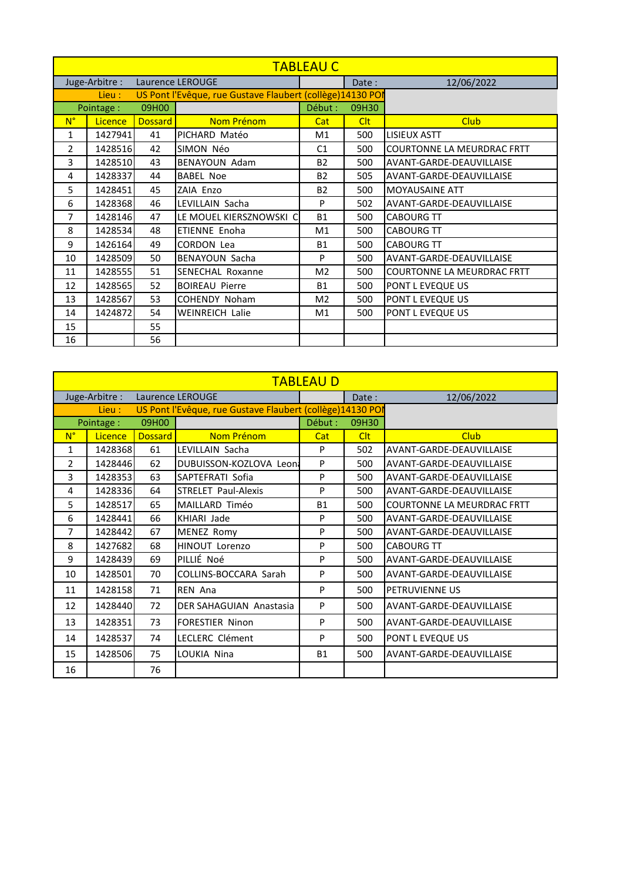|                | <b>TABLEAU C</b> |         |                                                           |                |            |                                   |  |  |  |  |
|----------------|------------------|---------|-----------------------------------------------------------|----------------|------------|-----------------------------------|--|--|--|--|
|                | Juge-Arbitre :   |         | Laurence LEROUGE                                          |                | Date:      | 12/06/2022                        |  |  |  |  |
|                | Lieu :           |         | US Pont l'Evêque, rue Gustave Flaubert (collège)14130 POI |                |            |                                   |  |  |  |  |
|                | Pointage:        | 09H00   |                                                           | Début :        | 09H30      |                                   |  |  |  |  |
| $N^{\circ}$    | <b>Licence</b>   | Dossard | Nom Prénom                                                | Cat            | <b>Clt</b> | <b>Club</b>                       |  |  |  |  |
| 1              | 1427941          | 41      | PICHARD Matéo                                             | M <sub>1</sub> | 500        | LISIEUX ASTT                      |  |  |  |  |
| $\overline{2}$ | 1428516          | 42      | SIMON Néo                                                 | C <sub>1</sub> | 500        | <b>COURTONNE LA MEURDRAC FRTT</b> |  |  |  |  |
| 3.             | 1428510          | 43      | <b>BENAYOUN Adam</b>                                      | <b>B2</b>      | 500        | AVANT-GARDE-DEAUVILLAISE          |  |  |  |  |
| 4              | 1428337          | 44      | <b>BABEL Noe</b>                                          | <b>B2</b>      | 505        | AVANT-GARDE-DEAUVILLAISE          |  |  |  |  |
| 5              | 1428451          | 45      | ZAIA Enzo                                                 | <b>B2</b>      | 500        | <b>MOYAUSAINE ATT</b>             |  |  |  |  |
| 6              | 1428368          | 46      | LEVILLAIN Sacha                                           | P              | 502        | AVANT-GARDE-DEAUVILLAISE          |  |  |  |  |
| 7              | 1428146          | 47      | LE MOUEL KIERSZNOWSKI C                                   | <b>B1</b>      | 500        | <b>CABOURG TT</b>                 |  |  |  |  |
| 8              | 1428534          | 48      | <b>ETIENNE Enoha</b>                                      | M <sub>1</sub> | 500        | <b>CABOURG TT</b>                 |  |  |  |  |
| 9              | 1426164          | 49      | <b>CORDON Lea</b>                                         | <b>B1</b>      | 500        | <b>CABOURG TT</b>                 |  |  |  |  |
| 10             | 1428509          | 50      | <b>BENAYOUN Sacha</b>                                     | P              | 500        | AVANT-GARDE-DEAUVILLAISE          |  |  |  |  |
| 11             | 1428555          | 51      | <b>SENECHAL Roxanne</b>                                   | M <sub>2</sub> | 500        | <b>COURTONNE LA MEURDRAC FRTT</b> |  |  |  |  |
| 12             | 1428565          | 52      | <b>BOIREAU Pierre</b>                                     | <b>B1</b>      | 500        | PONT L EVEQUE US                  |  |  |  |  |
| 13             | 1428567          | 53      | <b>COHENDY Noham</b>                                      | M <sub>2</sub> | 500        | PONT L EVEQUE US                  |  |  |  |  |
| 14             | 1424872          | 54      | <b>WEINREICH Lalie</b>                                    | M <sub>1</sub> | 500        | PONT L EVEQUE US                  |  |  |  |  |
| 15             |                  | 55      |                                                           |                |            |                                   |  |  |  |  |
| 16             |                  | 56      |                                                           |                |            |                                   |  |  |  |  |

|              | <b>TABLEAU D</b> |                |                                                           |           |            |                            |  |  |  |  |
|--------------|------------------|----------------|-----------------------------------------------------------|-----------|------------|----------------------------|--|--|--|--|
|              | Juge-Arbitre :   |                | Laurence LEROUGE                                          |           | Date:      | 12/06/2022                 |  |  |  |  |
|              | Lieu :           |                | US Pont l'Evêque, rue Gustave Flaubert (collège)14130 POI |           |            |                            |  |  |  |  |
|              | Pointage:        | 09H00          |                                                           | Début :   | 09H30      |                            |  |  |  |  |
| $N^{\circ}$  | Licence          | <b>Dossard</b> | Nom Prénom                                                | Cat       | <b>Clt</b> | Club                       |  |  |  |  |
| $\mathbf{1}$ | 1428368          | 61             | LEVILLAIN Sacha                                           | P         | 502        | AVANT-GARDE-DEAUVILLAISE   |  |  |  |  |
| 2            | 1428446          | 62             | DUBUISSON-KOZLOVA Leona                                   | P         | 500        | AVANT-GARDE-DEAUVILLAISE   |  |  |  |  |
| 3            | 1428353          | 63             | SAPTEFRATI Sofia                                          | Þ         | 500        | AVANT-GARDE-DEAUVILLAISE   |  |  |  |  |
| 4            | 1428336          | 64             | STRELET Paul-Alexis                                       | P         | 500        | AVANT-GARDE-DEAUVILLAISE   |  |  |  |  |
| 5            | 1428517          | 65             | MAILLARD Timéo                                            | <b>B1</b> | 500        | COURTONNE LA MEURDRAC FRTT |  |  |  |  |
| 6            | 1428441          | 66             | KHIARI Jade                                               | P         | 500        | AVANT-GARDE-DEAUVILLAISE   |  |  |  |  |
| 7            | 1428442          | 67             | MENEZ Romy                                                | Þ         | 500        | AVANT-GARDE-DEAUVILLAISE   |  |  |  |  |
| 8            | 1427682          | 68             | HINOUT Lorenzo                                            | P         | 500        | <b>CABOURG TT</b>          |  |  |  |  |
| 9            | 1428439          | 69             | PILLIÉ Noé                                                | P         | 500        | AVANT-GARDE-DEAUVILLAISE   |  |  |  |  |
| 10           | 1428501          | 70             | COLLINS-BOCCARA Sarah                                     | P         | 500        | AVANT-GARDE-DEAUVILLAISE   |  |  |  |  |
| 11           | 1428158          | 71             | REN Ana                                                   | P         | 500        | PETRUVIENNE US             |  |  |  |  |
| 12           | 1428440          | 72             | DER SAHAGUIAN Anastasia                                   | P         | 500        | AVANT-GARDE-DEAUVILLAISE   |  |  |  |  |
| 13           | 1428351          | 73             | <b>FORESTIER Ninon</b>                                    | P         | 500        | AVANT-GARDE-DEAUVILLAISE   |  |  |  |  |
| 14           | 1428537          | 74             | LECLERC Clément                                           | P         | 500        | PONT L EVEQUE US           |  |  |  |  |
| 15           | 1428506          | 75             | LOUKIA Nina                                               | <b>B1</b> | 500        | AVANT-GARDE-DEAUVILLAISE   |  |  |  |  |
| 16           |                  | 76             |                                                           |           |            |                            |  |  |  |  |